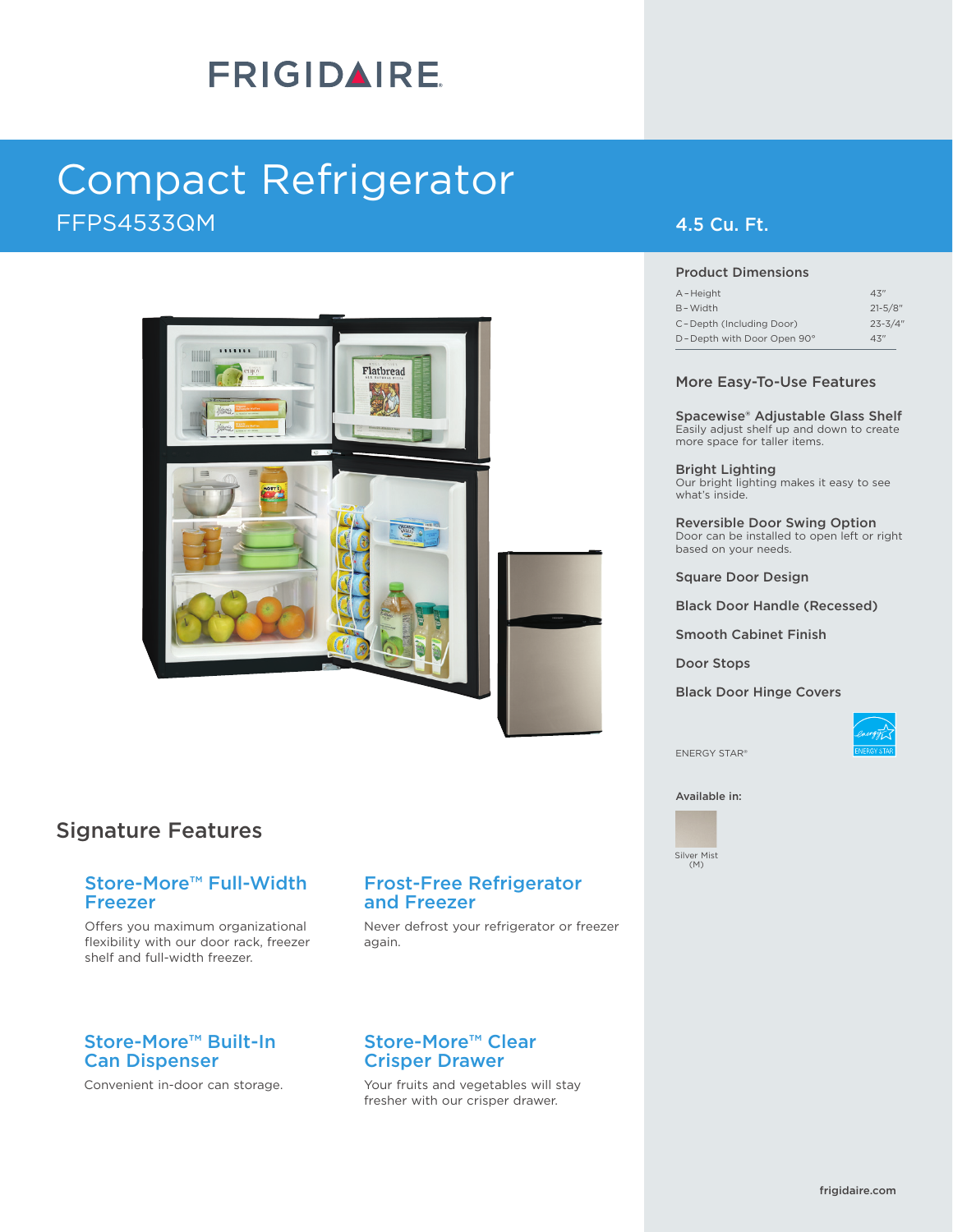# **FRIGIDAIRE**

# FFPS4533QM 4.5 Cu. Ft. Compact Refrigerator



## Signature Features

#### Store-More™ Full-Width Freezer

Offers you maximum organizational flexibility with our door rack, freezer shelf and full-width freezer.

### Store-More™ Built-In Can Dispenser

Convenient in-door can storage.

### Frost-Free Refrigerator and Freezer

Never defrost your refrigerator or freezer again.

#### Store-More™ Clear Crisper Drawer

Your fruits and vegetables will stay fresher with our crisper drawer.

#### Product Dimensions

| A-Height                   | 43''         |
|----------------------------|--------------|
| B-Width                    | $21 - 5/8$ " |
| C-Depth (Including Door)   | $23 - 3/4"$  |
| D-Depth with Door Open 90° | 43''         |

#### More Easy-To-Use Features

Spacewise® Adjustable Glass Shelf Easily adjust shelf up and down to create more space for taller items.

Bright Lighting Our bright lighting makes it easy to see what's inside.

Reversible Door Swing Option Door can be installed to open left or right based on your needs.

Square Door Design

Black Door Handle (Recessed)

Smooth Cabinet Finish

Door Stops

Black Door Hinge Covers



ENERGY STAR®

Available in:

Silver Mist  $(M)$